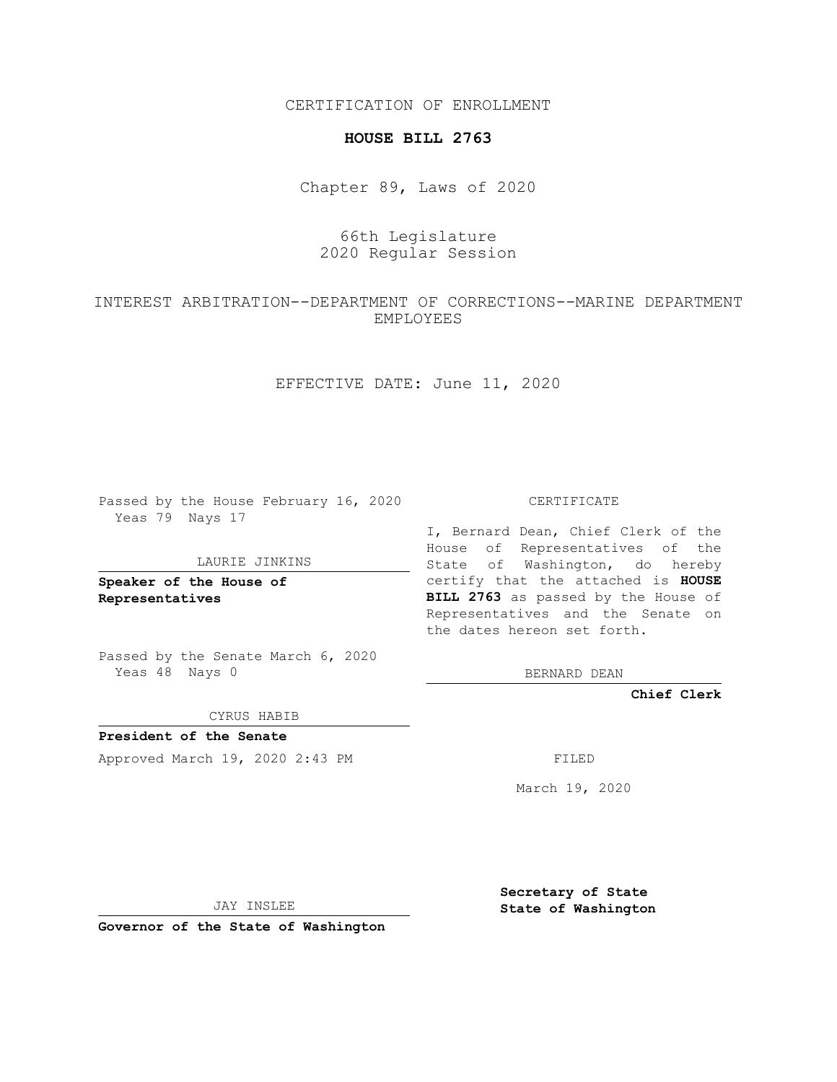CERTIFICATION OF ENROLLMENT

## **HOUSE BILL 2763**

Chapter 89, Laws of 2020

## 66th Legislature 2020 Regular Session

## INTEREST ARBITRATION--DEPARTMENT OF CORRECTIONS--MARINE DEPARTMENT EMPLOYEES

EFFECTIVE DATE: June 11, 2020

Passed by the House February 16, 2020 Yeas 79 Nays 17

LAURIE JINKINS

**Speaker of the House of Representatives**

Passed by the Senate March 6, 2020 Yeas 48 Nays 0

CYRUS HABIB

**President of the Senate** Approved March 19, 2020 2:43 PM FILED

CERTIFICATE

I, Bernard Dean, Chief Clerk of the House of Representatives of the State of Washington, do hereby certify that the attached is **HOUSE BILL 2763** as passed by the House of Representatives and the Senate on the dates hereon set forth.

BERNARD DEAN

**Chief Clerk**

March 19, 2020

JAY INSLEE

**Governor of the State of Washington**

**Secretary of State State of Washington**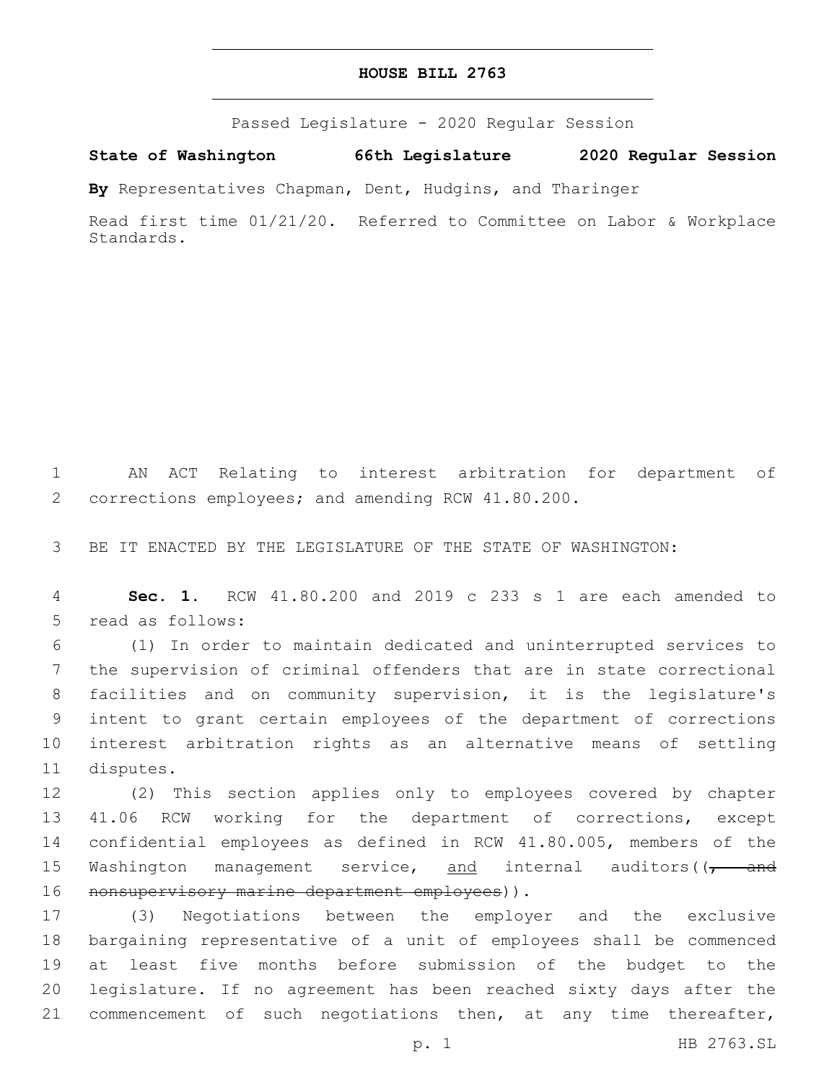## **HOUSE BILL 2763**

Passed Legislature - 2020 Regular Session

**State of Washington 66th Legislature 2020 Regular Session**

**By** Representatives Chapman, Dent, Hudgins, and Tharinger

Read first time 01/21/20. Referred to Committee on Labor & Workplace Standards.

1 AN ACT Relating to interest arbitration for department of 2 corrections employees; and amending RCW 41.80.200.

3 BE IT ENACTED BY THE LEGISLATURE OF THE STATE OF WASHINGTON:

4 **Sec. 1.** RCW 41.80.200 and 2019 c 233 s 1 are each amended to 5 read as follows:

 (1) In order to maintain dedicated and uninterrupted services to the supervision of criminal offenders that are in state correctional facilities and on community supervision, it is the legislature's intent to grant certain employees of the department of corrections interest arbitration rights as an alternative means of settling 11 disputes.

12 (2) This section applies only to employees covered by chapter 13 41.06 RCW working for the department of corrections, except 14 confidential employees as defined in RCW 41.80.005, members of the 15 Washington management service, and internal auditors((<del>, and</del> 16 nonsupervisory marine department employees)).

 (3) Negotiations between the employer and the exclusive bargaining representative of a unit of employees shall be commenced at least five months before submission of the budget to the legislature. If no agreement has been reached sixty days after the 21 commencement of such negotiations then, at any time thereafter,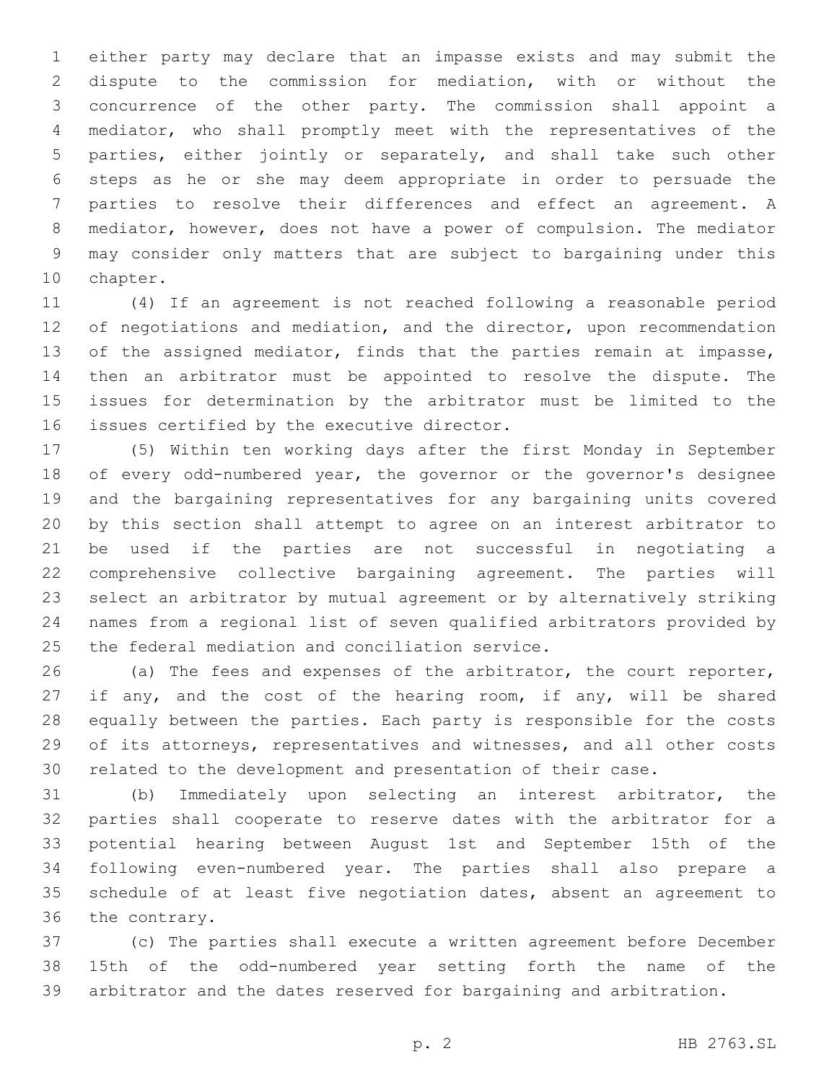either party may declare that an impasse exists and may submit the dispute to the commission for mediation, with or without the concurrence of the other party. The commission shall appoint a mediator, who shall promptly meet with the representatives of the parties, either jointly or separately, and shall take such other steps as he or she may deem appropriate in order to persuade the parties to resolve their differences and effect an agreement. A mediator, however, does not have a power of compulsion. The mediator may consider only matters that are subject to bargaining under this 10 chapter.

 (4) If an agreement is not reached following a reasonable period 12 of negotiations and mediation, and the director, upon recommendation 13 of the assigned mediator, finds that the parties remain at impasse, then an arbitrator must be appointed to resolve the dispute. The issues for determination by the arbitrator must be limited to the 16 issues certified by the executive director.

 (5) Within ten working days after the first Monday in September of every odd-numbered year, the governor or the governor's designee and the bargaining representatives for any bargaining units covered by this section shall attempt to agree on an interest arbitrator to be used if the parties are not successful in negotiating a comprehensive collective bargaining agreement. The parties will select an arbitrator by mutual agreement or by alternatively striking names from a regional list of seven qualified arbitrators provided by 25 the federal mediation and conciliation service.

 (a) The fees and expenses of the arbitrator, the court reporter, 27 if any, and the cost of the hearing room, if any, will be shared equally between the parties. Each party is responsible for the costs of its attorneys, representatives and witnesses, and all other costs related to the development and presentation of their case.

 (b) Immediately upon selecting an interest arbitrator, the parties shall cooperate to reserve dates with the arbitrator for a potential hearing between August 1st and September 15th of the following even-numbered year. The parties shall also prepare a schedule of at least five negotiation dates, absent an agreement to 36 the contrary.

 (c) The parties shall execute a written agreement before December 15th of the odd-numbered year setting forth the name of the arbitrator and the dates reserved for bargaining and arbitration.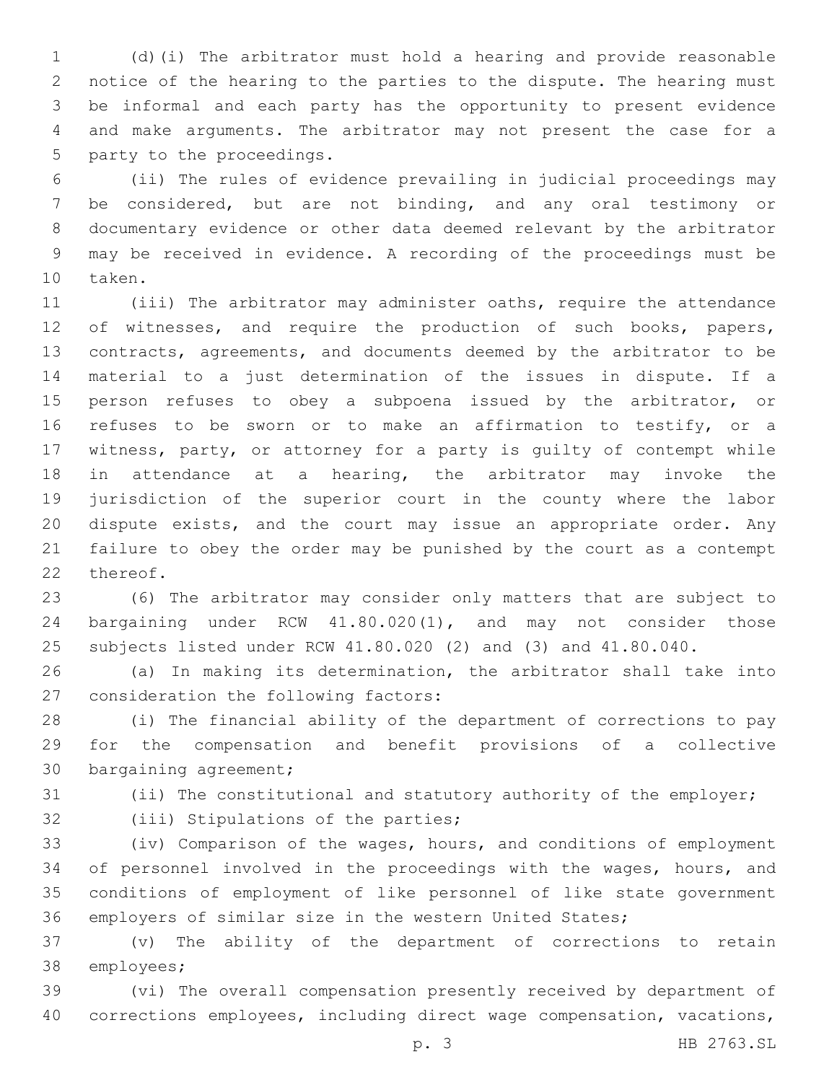(d)(i) The arbitrator must hold a hearing and provide reasonable notice of the hearing to the parties to the dispute. The hearing must be informal and each party has the opportunity to present evidence and make arguments. The arbitrator may not present the case for a 5 party to the proceedings.

 (ii) The rules of evidence prevailing in judicial proceedings may be considered, but are not binding, and any oral testimony or documentary evidence or other data deemed relevant by the arbitrator may be received in evidence. A recording of the proceedings must be 10 taken.

 (iii) The arbitrator may administer oaths, require the attendance 12 of witnesses, and require the production of such books, papers, contracts, agreements, and documents deemed by the arbitrator to be material to a just determination of the issues in dispute. If a 15 person refuses to obey a subpoena issued by the arbitrator, or refuses to be sworn or to make an affirmation to testify, or a witness, party, or attorney for a party is guilty of contempt while in attendance at a hearing, the arbitrator may invoke the jurisdiction of the superior court in the county where the labor dispute exists, and the court may issue an appropriate order. Any failure to obey the order may be punished by the court as a contempt 22 thereof.

 (6) The arbitrator may consider only matters that are subject to bargaining under RCW 41.80.020(1), and may not consider those subjects listed under RCW 41.80.020 (2) and (3) and 41.80.040.

 (a) In making its determination, the arbitrator shall take into 27 consideration the following factors:

 (i) The financial ability of the department of corrections to pay for the compensation and benefit provisions of a collective 30 bargaining agreement;

(ii) The constitutional and statutory authority of the employer;

32 (iii) Stipulations of the parties;

 (iv) Comparison of the wages, hours, and conditions of employment of personnel involved in the proceedings with the wages, hours, and conditions of employment of like personnel of like state government employers of similar size in the western United States;

 (v) The ability of the department of corrections to retain 38 employees;

 (vi) The overall compensation presently received by department of corrections employees, including direct wage compensation, vacations,

p. 3 HB 2763.SL